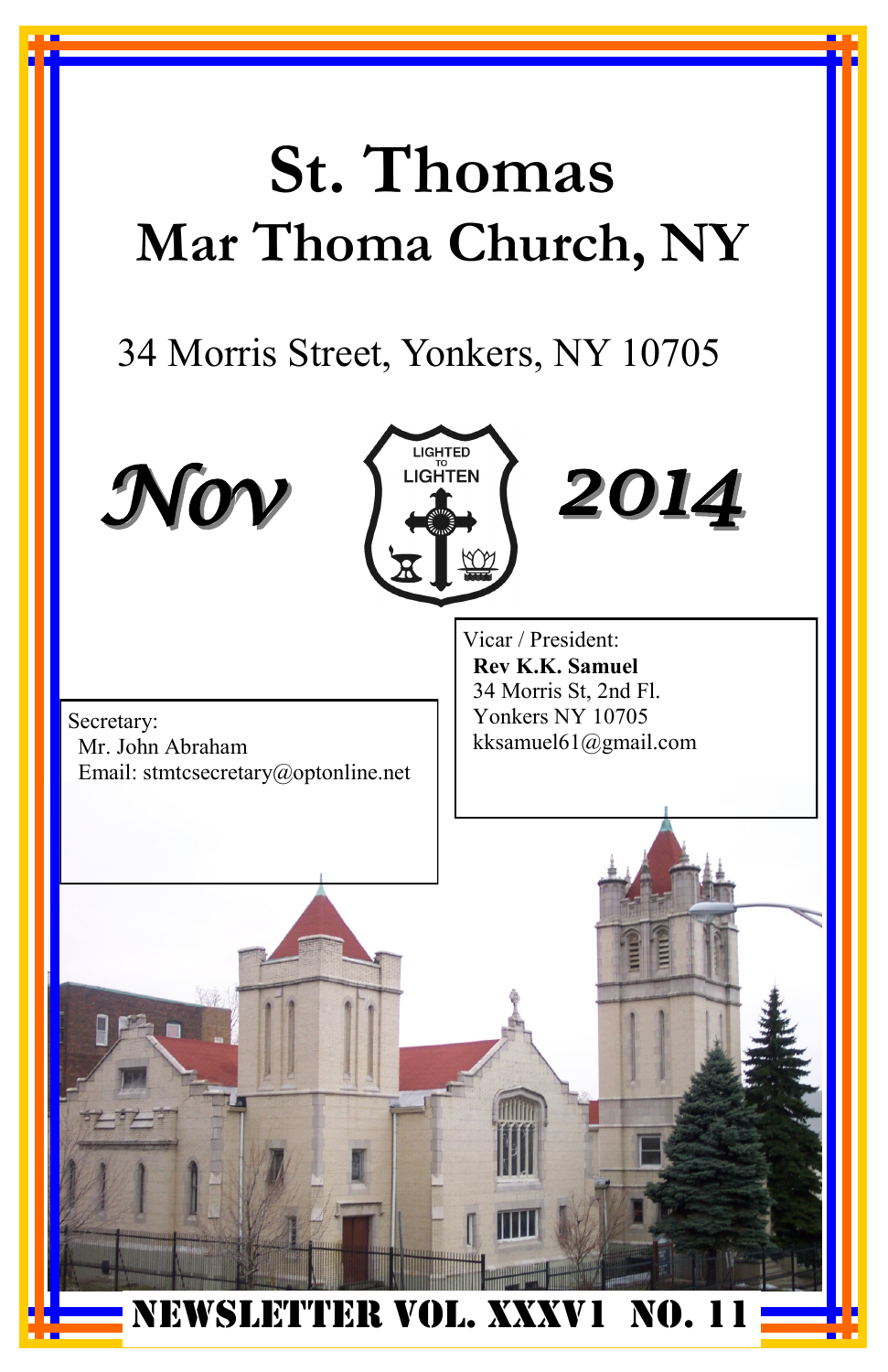# **St. Thomas Mar Thoma Church, NY**

# 34 Morris Street, Yonkers, NY 10705

LIGHTED **LIGHTEN** 





Vicar / President: **Rev K.K. Samuel** 34 Morris St, 2nd Fl. Yonkers NY 10705 kksamuel61@gmail.com

*2014*

NEWSLETTER VOL. XXXV1 NO. 11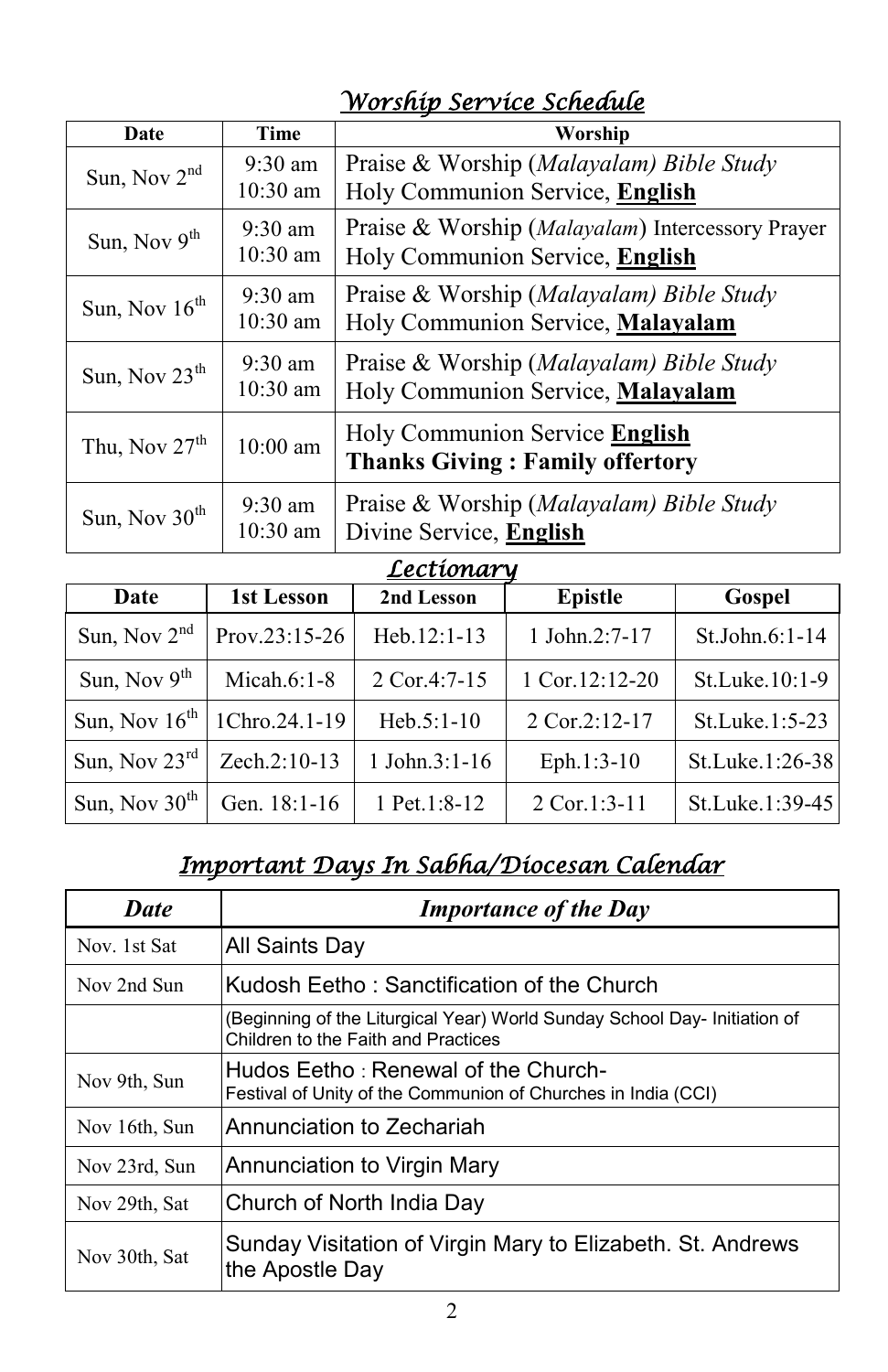#### *Worship Service Schedule*

| Date            | <b>Time</b>                     | Worship                                                                             |
|-----------------|---------------------------------|-------------------------------------------------------------------------------------|
| Sun, Nov $2nd$  | $9:30$ am<br>$10:30$ am         | Praise & Worship (Malayalam) Bible Study<br>Holy Communion Service, English         |
| Sun, Nov $9th$  | $9:30 \text{ am}$<br>$10:30$ am | Praise & Worship (Malayalam) Intercessory Prayer<br>Holy Communion Service, English |
| Sun, Nov $16th$ | $9:30 \text{ am}$<br>$10:30$ am | Praise & Worship (Malayalam) Bible Study<br>Holy Communion Service, Malayalam       |
| Sun, Nov $23th$ | $9:30 \text{ am}$<br>$10:30$ am | Praise & Worship (Malayalam) Bible Study<br>Holy Communion Service, Malayalam       |
| Thu, Nov $27th$ | $10:00$ am                      | Holy Communion Service English<br><b>Thanks Giving: Family offertory</b>            |
| Sun, Nov $30th$ | $9:30$ am<br>$10:30$ am         | Praise & Worship (Malayalam) Bible Study<br>Divine Service, English                 |

#### *Lectionary*

| LCCLWIWI M                |                 |                    |                    |                  |  |
|---------------------------|-----------------|--------------------|--------------------|------------------|--|
| Date                      | 1st Lesson      | 2nd Lesson         | <b>Epistle</b>     | Gospel           |  |
| Sun, Nov $2nd$            | $Prov.23:15-26$ | Heb.12:1-13        | 1 John. $2:7-17$   | $St.John.6:1-14$ |  |
| Sun, Nov $9th$            | Micah. $6:1-8$  | 2 Cor.4:7-15       | 1 Cor.12:12-20     | St.Luke.10:1-9   |  |
| Sun, Nov $16^{th}$        | 1Chro.24.1-19   | $Heb.5:1-10$       | $2$ Cor. $2:12-17$ | St.Luke.1:5-23   |  |
| Sun, Nov $23^{\text{rd}}$ | Zech.2:10-13    | $1$ John. $3:1-16$ | Eph.1:3-10         | St.Luke.1:26-38  |  |
| Sun, Nov $30th$           | Gen. 18:1-16    | 1 Pet.1:8-12       | $2$ Cor.1:3-11     | St.Luke.1:39-45  |  |

#### *Important Days In Sabha/Diocesan Calendar*

| <b>Date</b>   | <b>Importance of the Day</b>                                                                                     |
|---------------|------------------------------------------------------------------------------------------------------------------|
| Nov. 1st Sat  | <b>All Saints Day</b>                                                                                            |
| Nov 2nd Sun   | Kudosh Eetho : Sanctification of the Church                                                                      |
|               | (Beginning of the Liturgical Year) World Sunday School Day- Initiation of<br>Children to the Faith and Practices |
| Nov 9th, Sun  | Hudos Eetho : Renewal of the Church-<br>Festival of Unity of the Communion of Churches in India (CCI)            |
| Nov 16th, Sun | Annunciation to Zechariah                                                                                        |
| Nov 23rd, Sun | Annunciation to Virgin Mary                                                                                      |
| Nov 29th, Sat | Church of North India Day                                                                                        |
| Nov 30th, Sat | Sunday Visitation of Virgin Mary to Elizabeth. St. Andrews<br>the Apostle Day                                    |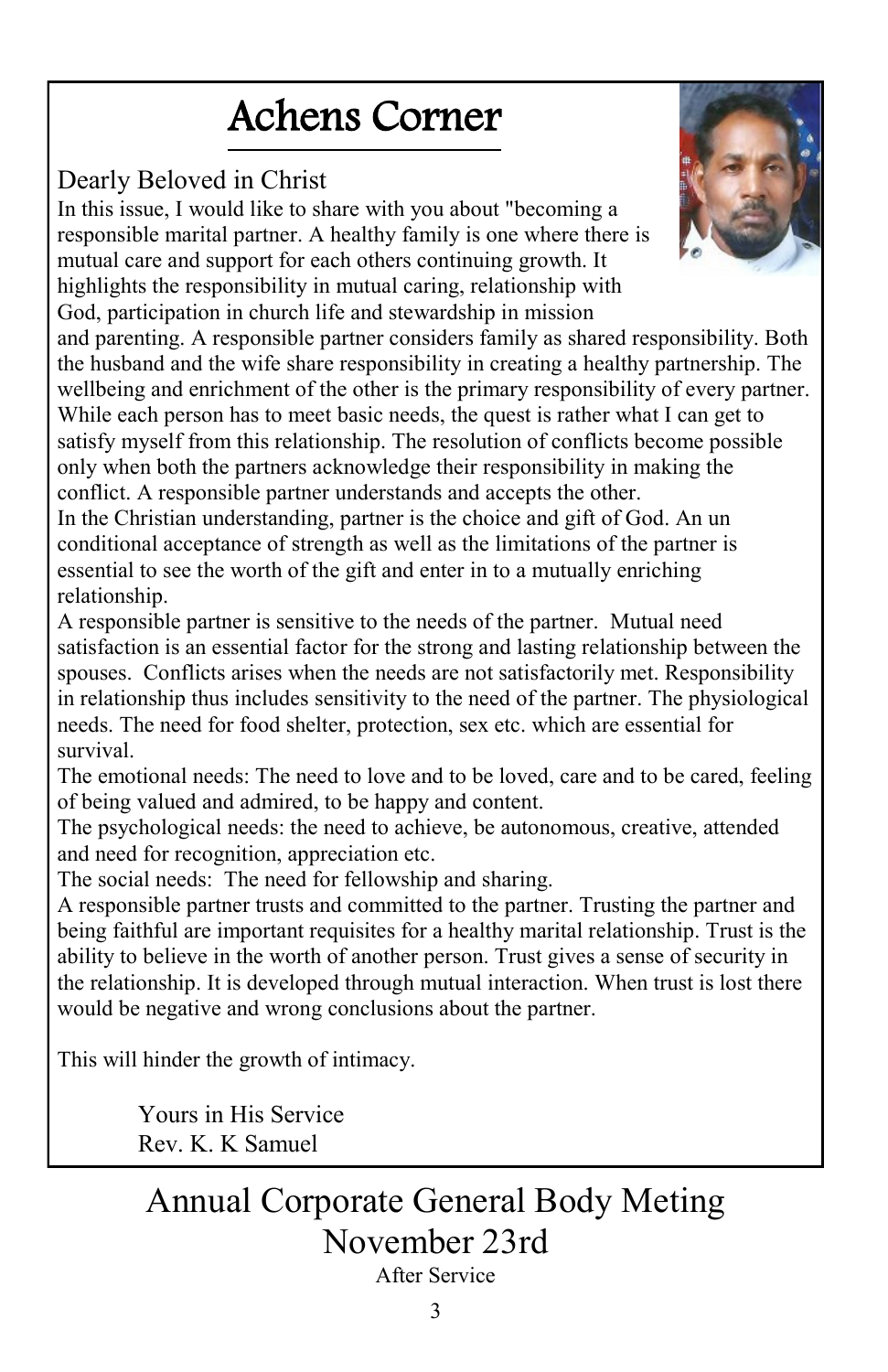# Achens Corner

#### Dearly Beloved in Christ

In this issue, I would like to share with you about "becoming a responsible marital partner. A healthy family is one where there is mutual care and support for each others continuing growth. It highlights the responsibility in mutual caring, relationship with God, participation in church life and stewardship in mission

and parenting. A responsible partner considers family as shared responsibility. Both the husband and the wife share responsibility in creating a healthy partnership. The wellbeing and enrichment of the other is the primary responsibility of every partner. While each person has to meet basic needs, the quest is rather what I can get to satisfy myself from this relationship. The resolution of conflicts become possible only when both the partners acknowledge their responsibility in making the conflict. A responsible partner understands and accepts the other.

In the Christian understanding, partner is the choice and gift of God. An un conditional acceptance of strength as well as the limitations of the partner is essential to see the worth of the gift and enter in to a mutually enriching relationship.

A responsible partner is sensitive to the needs of the partner. Mutual need satisfaction is an essential factor for the strong and lasting relationship between the spouses. Conflicts arises when the needs are not satisfactorily met. Responsibility in relationship thus includes sensitivity to the need of the partner. The physiological needs. The need for food shelter, protection, sex etc. which are essential for survival.

The emotional needs: The need to love and to be loved, care and to be cared, feeling of being valued and admired, to be happy and content.

The psychological needs: the need to achieve, be autonomous, creative, attended and need for recognition, appreciation etc.

The social needs: The need for fellowship and sharing.

A responsible partner trusts and committed to the partner. Trusting the partner and being faithful are important requisites for a healthy marital relationship. Trust is the ability to believe in the worth of another person. Trust gives a sense of security in the relationship. It is developed through mutual interaction. When trust is lost there would be negative and wrong conclusions about the partner.

This will hinder the growth of intimacy.

Yours in His Service Rev. K. K Samuel

### Annual Corporate General Body Meting November 23rd

After Service

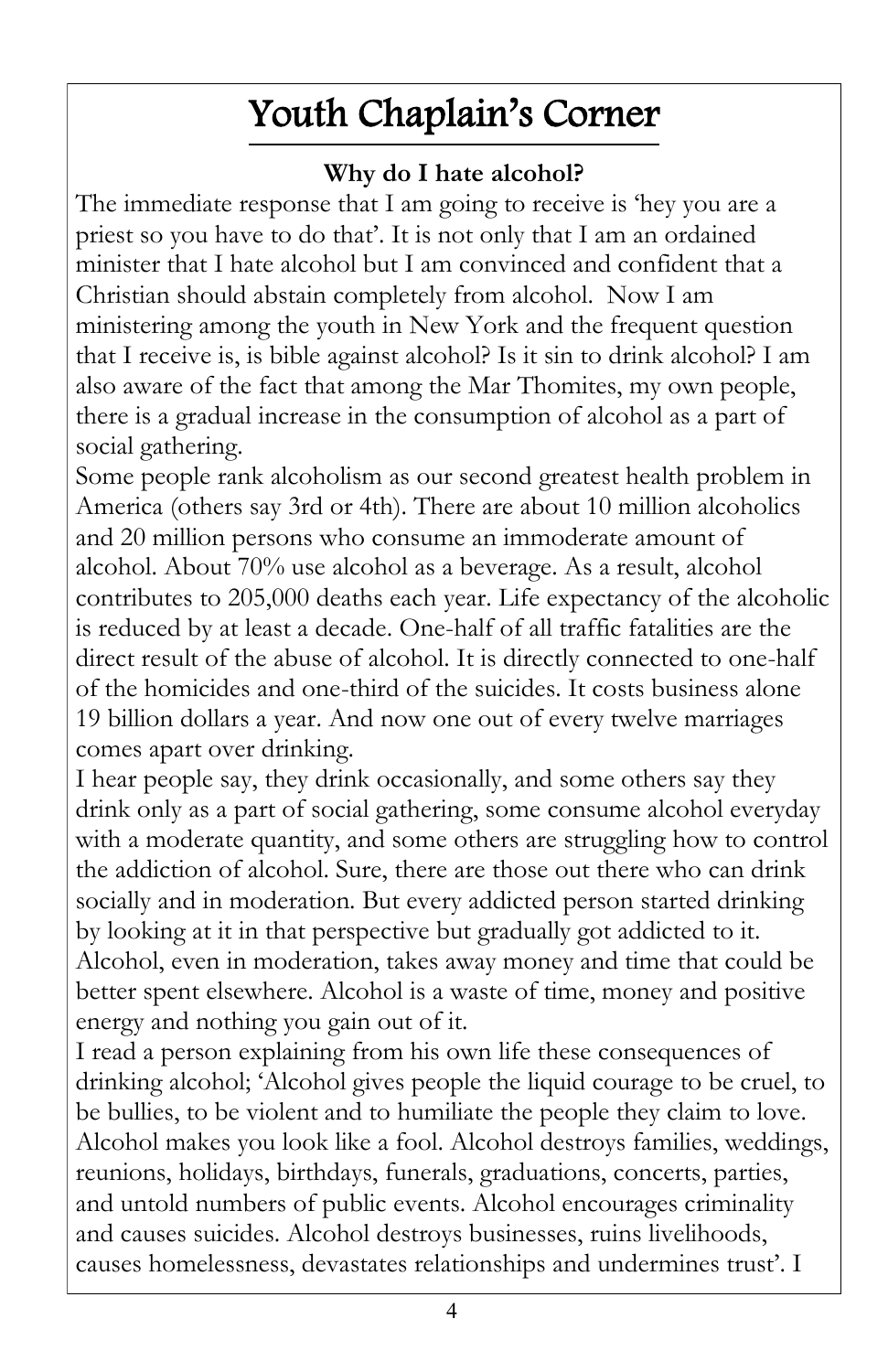# Youth Chaplain's Corner

#### **Why do I hate alcohol?**

The immediate response that I am going to receive is 'hey you are a priest so you have to do that". It is not only that I am an ordained minister that I hate alcohol but I am convinced and confident that a Christian should abstain completely from alcohol. Now I am ministering among the youth in New York and the frequent question that I receive is, is bible against alcohol? Is it sin to drink alcohol? I am also aware of the fact that among the Mar Thomites, my own people, there is a gradual increase in the consumption of alcohol as a part of social gathering.

Some people rank alcoholism as our second greatest health problem in America (others say 3rd or 4th). There are about 10 million alcoholics and 20 million persons who consume an immoderate amount of alcohol. About 70% use alcohol as a beverage. As a result, alcohol contributes to 205,000 deaths each year. Life expectancy of the alcoholic is reduced by at least a decade. One-half of all traffic fatalities are the direct result of the abuse of alcohol. It is directly connected to one-half of the homicides and one-third of the suicides. It costs business alone 19 billion dollars a year. And now one out of every twelve marriages comes apart over drinking.

I hear people say, they drink occasionally, and some others say they drink only as a part of social gathering, some consume alcohol everyday with a moderate quantity, and some others are struggling how to control the addiction of alcohol. Sure, there are those out there who can drink socially and in moderation. But every addicted person started drinking by looking at it in that perspective but gradually got addicted to it. Alcohol, even in moderation, takes away money and time that could be better spent elsewhere. Alcohol is a waste of time, money and positive energy and nothing you gain out of it.

I read a person explaining from his own life these consequences of drinking alcohol; "Alcohol gives people the liquid courage to be cruel, to be bullies, to be violent and to humiliate the people they claim to love. Alcohol makes you look like a fool. Alcohol destroys families, weddings, reunions, holidays, birthdays, funerals, graduations, concerts, parties, and untold numbers of public events. Alcohol encourages criminality and causes suicides. Alcohol destroys businesses, ruins livelihoods, causes homelessness, devastates relationships and undermines trust'. I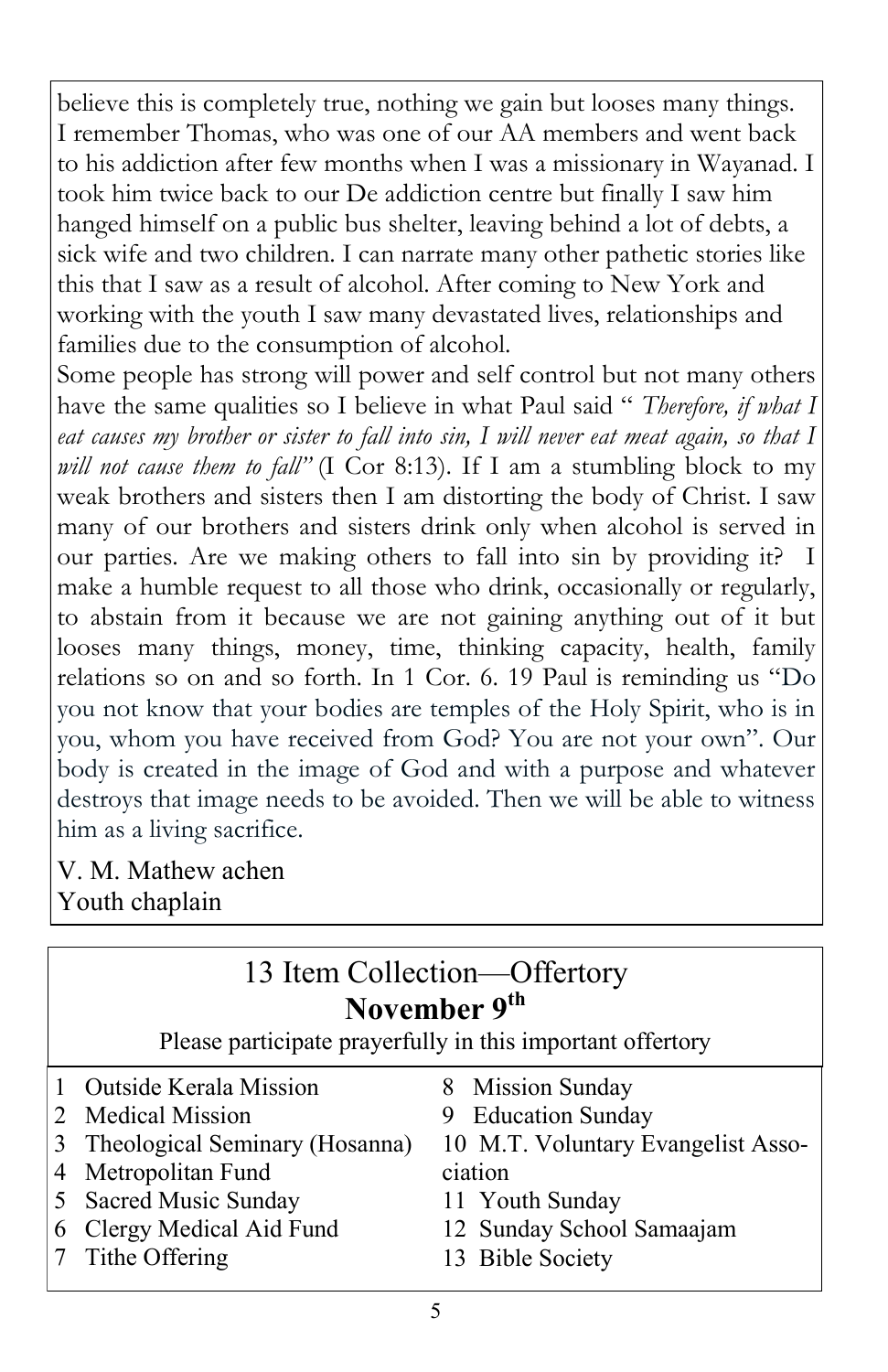believe this is completely true, nothing we gain but looses many things. I remember Thomas, who was one of our AA members and went back to his addiction after few months when I was a missionary in Wayanad. I took him twice back to our De addiction centre but finally I saw him hanged himself on a public bus shelter, leaving behind a lot of debts, a sick wife and two children. I can narrate many other pathetic stories like this that I saw as a result of alcohol. After coming to New York and working with the youth I saw many devastated lives, relationships and families due to the consumption of alcohol.

Some people has strong will power and self control but not many others have the same qualities so I believe in what Paul said " *Therefore, if what I eat causes my brother or sister to fall into sin, I will never eat meat again, so that I will not cause them to fall*" (I Cor 8:13). If I am a stumbling block to my weak brothers and sisters then I am distorting the body of Christ. I saw many of our brothers and sisters drink only when alcohol is served in our parties. Are we making others to fall into sin by providing it? make a humble request to all those who drink, occasionally or regularly, to abstain from it because we are not gaining anything out of it but looses many things, money, time, thinking capacity, health, family relations so on and so forth. In 1 Cor. 6. 19 Paul is reminding us "Do you not know that your bodies are temples of the Holy Spirit, who is in you, whom you have received from God? You are not your own". Our body is created in the image of God and with a purpose and whatever destroys that image needs to be avoided. Then we will be able to witness him as a living sacrifice.

V. M. Mathew achen Youth chaplain

| 13 Item Collection—Offertory<br>November 9 <sup>th</sup><br>Please participate prayerfully in this important offertory |                                |                                    |  |  |
|------------------------------------------------------------------------------------------------------------------------|--------------------------------|------------------------------------|--|--|
|                                                                                                                        | Outside Kerala Mission         | 8 Mission Sunday                   |  |  |
|                                                                                                                        | <b>Medical Mission</b>         | 9 Education Sunday                 |  |  |
|                                                                                                                        | Theological Seminary (Hosanna) | 10 M.T. Voluntary Evangelist Asso- |  |  |
|                                                                                                                        | Metropolitan Fund              | ciation                            |  |  |
|                                                                                                                        | Sacred Music Sunday            | 11 Youth Sunday                    |  |  |
| 6                                                                                                                      | Clergy Medical Aid Fund        | 12 Sunday School Samaajam          |  |  |
|                                                                                                                        | Tithe Offering                 | 13 Bible Society                   |  |  |
|                                                                                                                        |                                |                                    |  |  |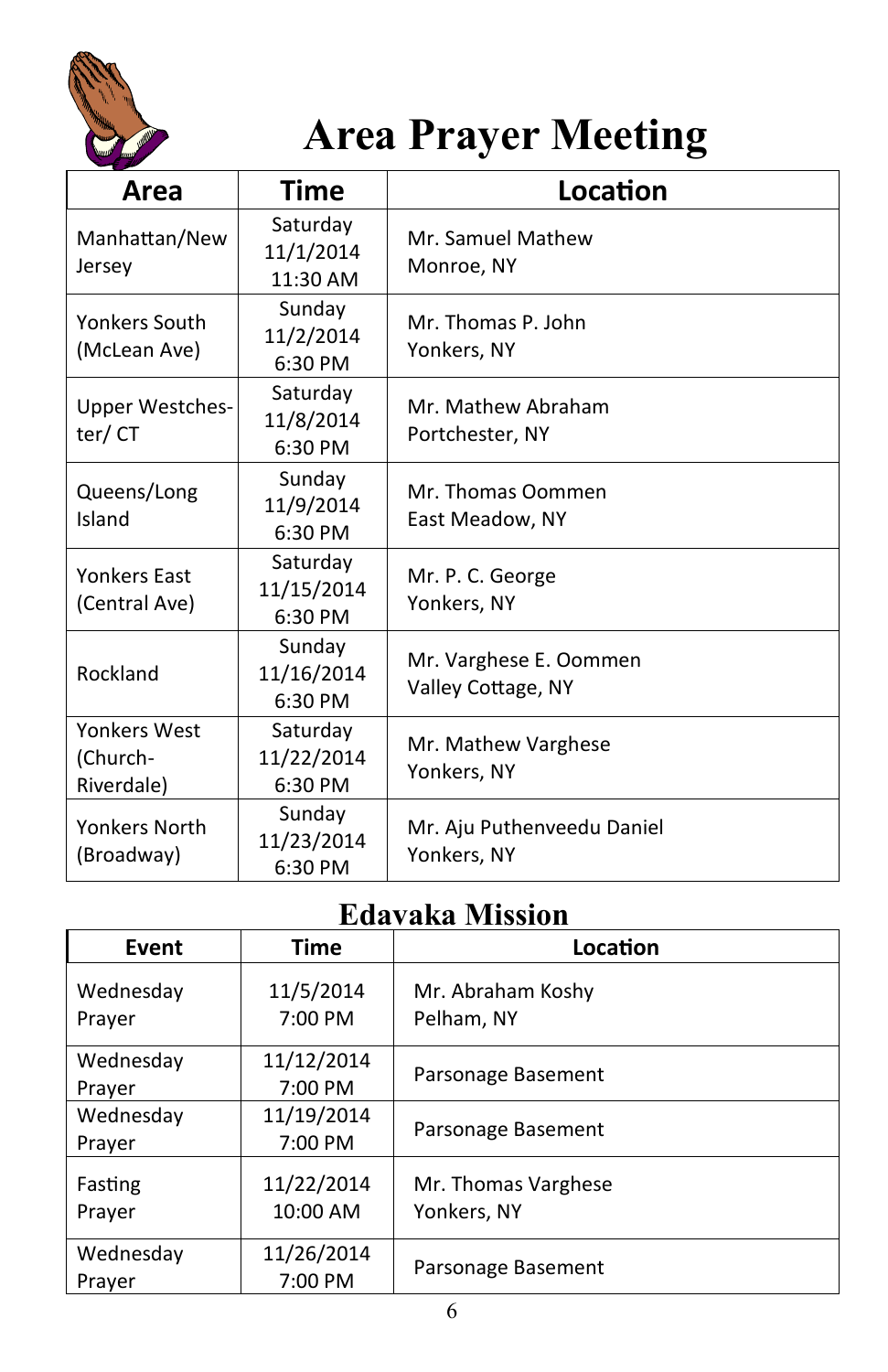

# **Area Prayer Meeting**

| Area                                   | <b>Time</b>                       | Location                                     |
|----------------------------------------|-----------------------------------|----------------------------------------------|
| Manhattan/New<br>Jersey                | Saturday<br>11/1/2014<br>11:30 AM | Mr. Samuel Mathew<br>Monroe, NY              |
| Yonkers South<br>(McLean Ave)          | Sunday<br>11/2/2014<br>6:30 PM    | Mr. Thomas P. John<br>Yonkers, NY            |
| <b>Upper Westches-</b><br>ter/CT       | Saturday<br>11/8/2014<br>6:30 PM  | Mr. Mathew Abraham<br>Portchester, NY        |
| Queens/Long<br>Island                  | Sunday<br>11/9/2014<br>$6:30$ PM  | Mr. Thomas Oommen<br>East Meadow, NY         |
| <b>Yonkers East</b><br>(Central Ave)   | Saturday<br>11/15/2014<br>6:30 PM | Mr. P. C. George<br>Yonkers, NY              |
| Rockland                               | Sunday<br>11/16/2014<br>6:30 PM   | Mr. Varghese E. Oommen<br>Valley Cottage, NY |
| Yonkers West<br>(Church-<br>Riverdale) | Saturday<br>11/22/2014<br>6:30 PM | Mr. Mathew Varghese<br>Yonkers, NY           |
| Yonkers North<br>(Broadway)            | Sunday<br>11/23/2014<br>6:30 PM   | Mr. Aju Puthenveedu Daniel<br>Yonkers, NY    |

#### **Edavaka Mission**

| Event             | <b>Time</b>            | Location                           |
|-------------------|------------------------|------------------------------------|
| Wednesday         | 11/5/2014              | Mr. Abraham Koshy                  |
| Prayer            | 7:00 PM                | Pelham, NY                         |
| Wednesday         | 11/12/2014             |                                    |
| Prayer            | 7:00 PM                | Parsonage Basement                 |
| Wednesday         | 11/19/2014             |                                    |
| Prayer            | 7:00 PM                | Parsonage Basement                 |
| Fasting<br>Prayer | 11/22/2014<br>10:00 AM | Mr. Thomas Varghese<br>Yonkers, NY |
| Wednesday         | 11/26/2014             |                                    |
| Prayer            | 7:00 PM                | Parsonage Basement                 |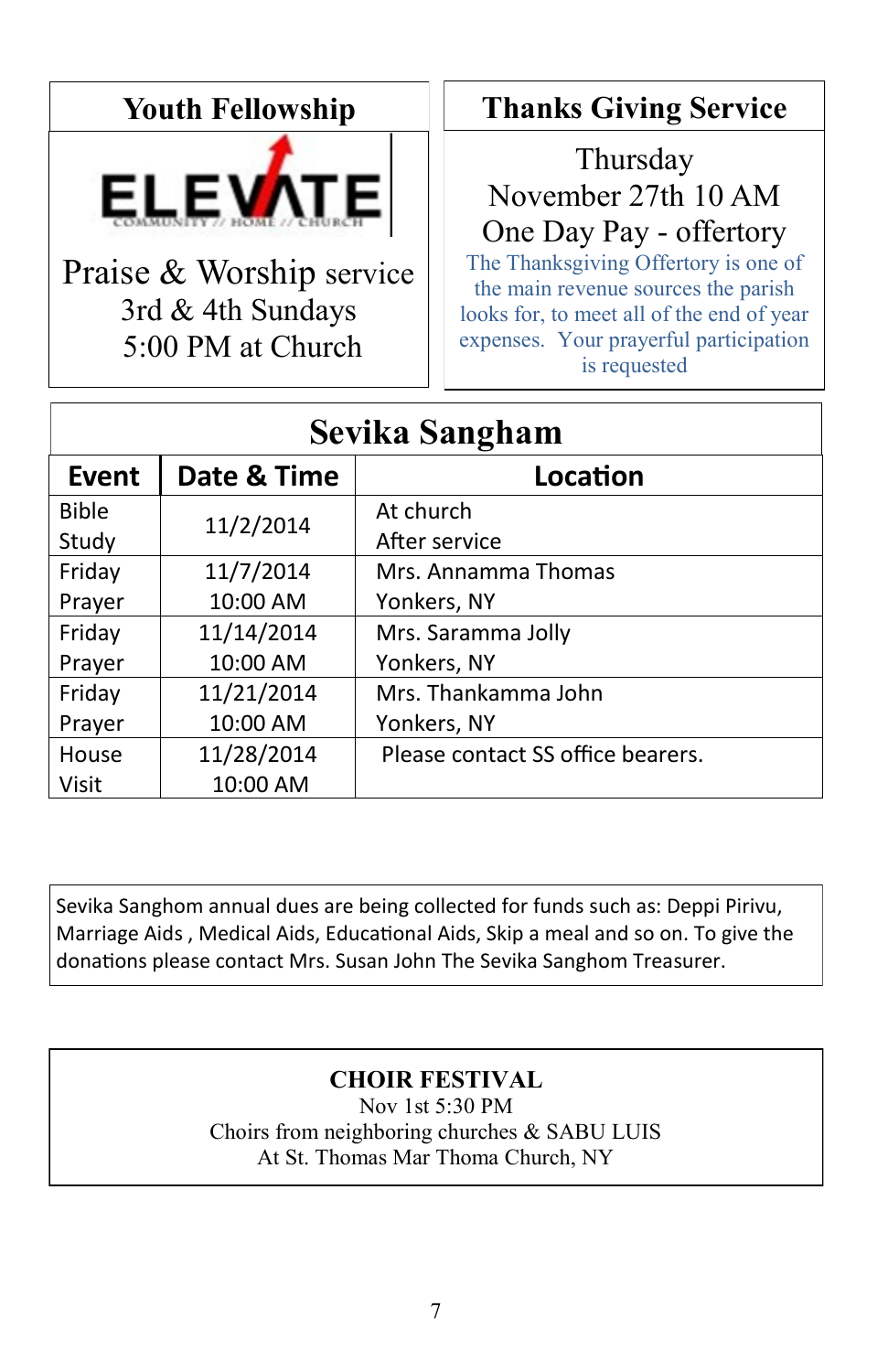#### **Youth Fellowship**



Praise & Worship service 3rd & 4th Sundays 5:00 PM at Church

#### **Thanks Giving Service**

Thursday November 27th 10 AM One Day Pay - offertory The Thanksgiving Offertory is one of the main revenue sources the parish looks for, to meet all of the end of year expenses. Your prayerful participation

is requested

| Sevika Sangham |             |                                   |  |  |
|----------------|-------------|-----------------------------------|--|--|
| Event          | Date & Time | Location                          |  |  |
| <b>Bible</b>   | 11/2/2014   | At church                         |  |  |
| Study          |             | After service                     |  |  |
| Friday         | 11/7/2014   | Mrs. Annamma Thomas               |  |  |
| Prayer         | 10:00 AM    | Yonkers, NY                       |  |  |
| Friday         | 11/14/2014  | Mrs. Saramma Jolly                |  |  |
| Prayer         | 10:00 AM    | Yonkers, NY                       |  |  |
| Friday         | 11/21/2014  | Mrs. Thankamma John               |  |  |
| Prayer         | 10:00 AM    | Yonkers, NY                       |  |  |
| House          | 11/28/2014  | Please contact SS office bearers. |  |  |
| Visit          | 10:00 AM    |                                   |  |  |

Sevika Sanghom annual dues are being collected for funds such as: Deppi Pirivu, Marriage Aids , Medical Aids, Educational Aids, Skip a meal and so on. To give the donations please contact Mrs. Susan John The Sevika Sanghom Treasurer.

#### **CHOIR FESTIVAL**

Nov 1st 5:30 PM Choirs from neighboring churches & SABU LUIS At St. Thomas Mar Thoma Church, NY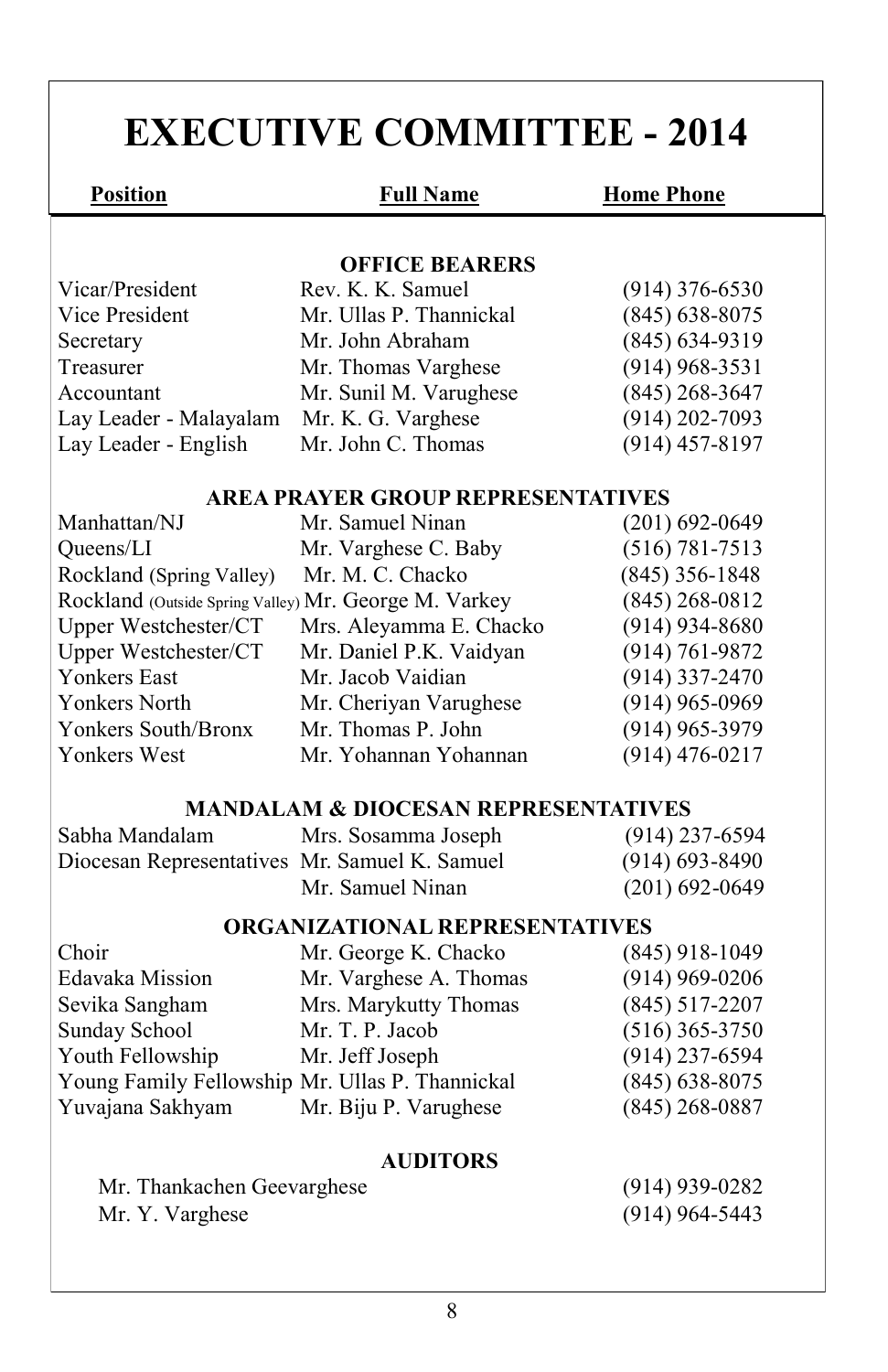# **EXECUTIVE COMMITTEE - 2014**

**Position Full Name Home Phone** 

#### **OFFICE BEARERS**

| Vicar/President        | Rev. K. K. Samuel       | $(914)$ 376-6530   |
|------------------------|-------------------------|--------------------|
| Vice President         | Mr. Ullas P. Thannickal | $(845)$ 638-8075   |
| Secretary              | Mr. John Abraham        | $(845) 634 - 9319$ |
| Treasurer              | Mr. Thomas Varghese     | $(914)$ 968-3531   |
| Accountant             | Mr. Sunil M. Varughese  | $(845)$ 268-3647   |
| Lay Leader - Malayalam | Mr. K. G. Varghese      | $(914)$ 202-7093   |
| Lay Leader - English   | Mr. John C. Thomas      | $(914)$ 457-8197   |
|                        |                         |                    |

#### **AREA PRAYER GROUP REPRESENTATIVES**

| Manhattan/NJ                                          | Mr. Samuel Ninan        | $(201) 692 - 0649$ |
|-------------------------------------------------------|-------------------------|--------------------|
| Queens/LI                                             | Mr. Varghese C. Baby    | $(516) 781 - 7513$ |
| Rockland (Spring Valley)                              | Mr. M. C. Chacko        | $(845)$ 356-1848   |
| Rockland (Outside Spring Valley) Mr. George M. Varkey |                         | $(845)$ 268-0812   |
| Upper Westchester/CT                                  | Mrs. Aleyamma E. Chacko | $(914)$ 934-8680   |
| Upper Westchester/CT                                  | Mr. Daniel P.K. Vaidyan | $(914) 761 - 9872$ |
| <b>Yonkers East</b>                                   | Mr. Jacob Vaidian       | $(914)$ 337-2470   |
| Yonkers North                                         | Mr. Cheriyan Varughese  | $(914)$ 965-0969   |
| Yonkers South/Bronx                                   | Mr. Thomas P. John      | $(914)$ 965-3979   |
| <b>Yonkers West</b>                                   | Mr. Yohannan Yohannan   | $(914)$ 476-0217   |

#### **MANDALAM & DIOCESAN REPRESENTATIVES**

| Sabha Mandalam                                | Mrs. Sosamma Joseph | $(914)$ 237-6594 |
|-----------------------------------------------|---------------------|------------------|
| Diocesan Representatives Mr. Samuel K. Samuel |                     | $(914)$ 693-8490 |
|                                               | Mr. Samuel Ninan    | $(201)$ 692-0649 |

#### **ORGANIZATIONAL REPRESENTATIVES**

| Choir                                           | Mr. George K. Chacko   | $(845)$ 918-1049   |
|-------------------------------------------------|------------------------|--------------------|
| Edavaka Mission                                 | Mr. Varghese A. Thomas | $(914)$ 969-0206   |
| Sevika Sangham                                  | Mrs. Marykutty Thomas  | $(845)$ 517-2207   |
| Sunday School                                   | Mr. T. P. Jacob        | $(516)$ 365-3750   |
| Youth Fellowship                                | Mr. Jeff Joseph        | $(914)$ 237-6594   |
| Young Family Fellowship Mr. Ullas P. Thannickal |                        | $(845) 638 - 8075$ |
| Yuvajana Sakhyam                                | Mr. Biju P. Varughese  | $(845)$ 268-0887   |

#### **AUDITORS**

| Mr. Thankachen Geevarghese | $(914)$ 939-0282 |
|----------------------------|------------------|
| Mr. Y. Varghese            | $(914)$ 964-5443 |